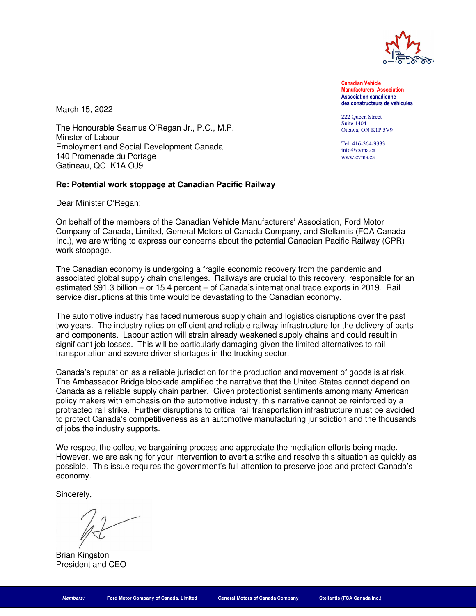

**Date Manufacturers' Association Canadian Vehicle Association canadienne des constructeurs de véhicules** 

222 Queen Street Suite 1404 Ottawa, ON K1P 5V9

Tel: 416-364-9333 info@cvma.ca www.cvma.ca

March 15, 2022

The Honourable Seamus O'Regan Jr., P.C., M.P. Minster of Labour Employment and Social Development Canada 140 Promenade du Portage Gatineau, QC K1A OJ9

## **Re: Potential work stoppage at Canadian Pacific Railway**

Dear Minister O'Regan:

On behalf of the members of the Canadian Vehicle Manufacturers' Association, Ford Motor Company of Canada, Limited, General Motors of Canada Company, and Stellantis (FCA Canada Inc.), we are writing to express our concerns about the potential Canadian Pacific Railway (CPR) work stoppage.

The Canadian economy is undergoing a fragile economic recovery from the pandemic and associated global supply chain challenges. Railways are crucial to this recovery, responsible for an estimated \$91.3 billion – or 15.4 percent – of Canada's international trade exports in 2019. Rail service disruptions at this time would be devastating to the Canadian economy.

The automotive industry has faced numerous supply chain and logistics disruptions over the past two years. The industry relies on efficient and reliable railway infrastructure for the delivery of parts and components. Labour action will strain already weakened supply chains and could result in significant job losses. This will be particularly damaging given the limited alternatives to rail transportation and severe driver shortages in the trucking sector.

Canada's reputation as a reliable jurisdiction for the production and movement of goods is at risk. The Ambassador Bridge blockade amplified the narrative that the United States cannot depend on Canada as a reliable supply chain partner. Given protectionist sentiments among many American policy makers with emphasis on the automotive industry, this narrative cannot be reinforced by a protracted rail strike. Further disruptions to critical rail transportation infrastructure must be avoided to protect Canada's competitiveness as an automotive manufacturing jurisdiction and the thousands of jobs the industry supports.

We respect the collective bargaining process and appreciate the mediation efforts being made. However, we are asking for your intervention to avert a strike and resolve this situation as quickly as possible. This issue requires the government's full attention to preserve jobs and protect Canada's economy.

Sincerely,

Brian Kingston President and CEO